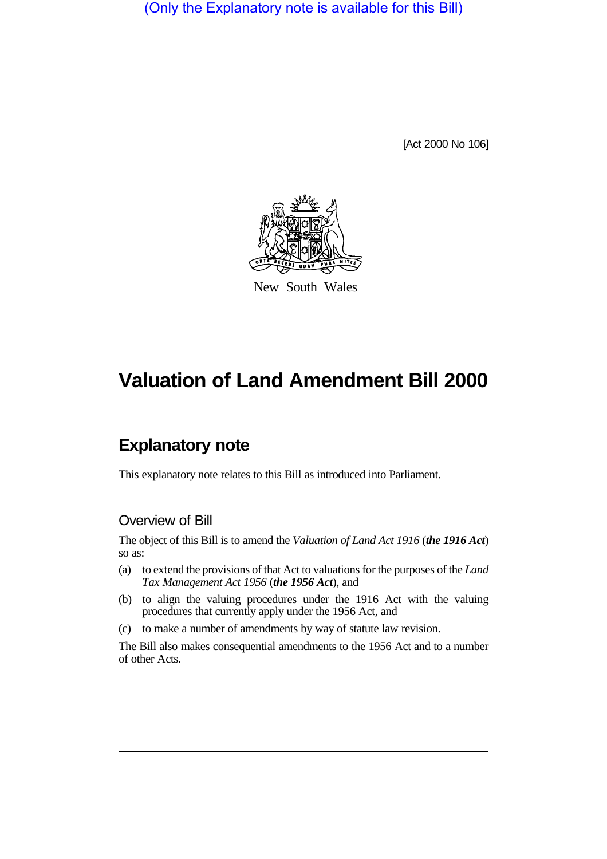(Only the Explanatory note is available for this Bill)

[Act 2000 No 106]



New South Wales

# **Valuation of Land Amendment Bill 2000**

# **Explanatory note**

This explanatory note relates to this Bill as introduced into Parliament.

### Overview of Bill

The object of this Bill is to amend the *Valuation of Land Act 1916* (*the 1916 Act*) so as:

- (a) to extend the provisions of that Act to valuations for the purposes of the *Land Tax Management Act 1956* (*the 1956 Act*), and
- (b) to align the valuing procedures under the 1916 Act with the valuing procedures that currently apply under the 1956 Act, and
- (c) to make a number of amendments by way of statute law revision.

The Bill also makes consequential amendments to the 1956 Act and to a number of other Acts.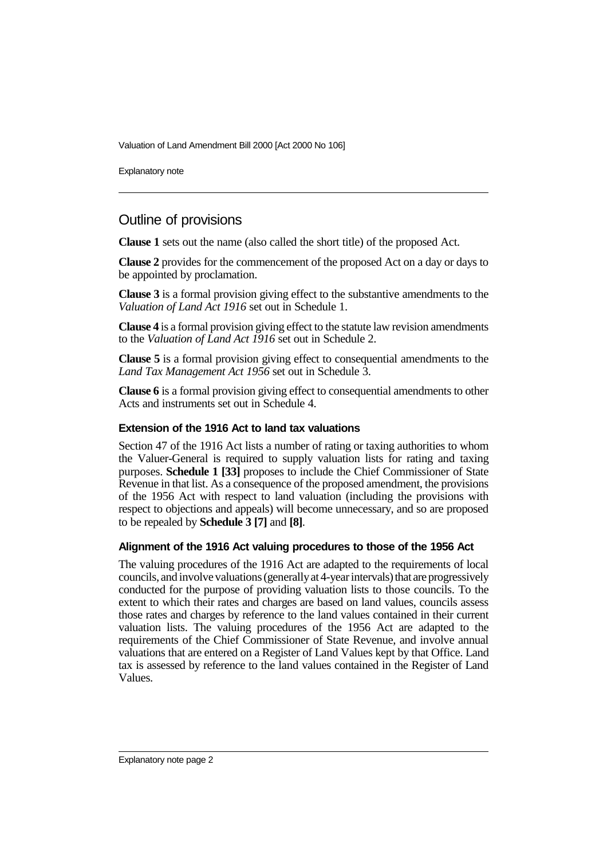Valuation of Land Amendment Bill 2000 [Act 2000 No 106]

Explanatory note

## Outline of provisions

**Clause 1** sets out the name (also called the short title) of the proposed Act.

**Clause 2** provides for the commencement of the proposed Act on a day or days to be appointed by proclamation.

**Clause 3** is a formal provision giving effect to the substantive amendments to the *Valuation of Land Act 1916* set out in Schedule 1.

**Clause 4** is a formal provision giving effect to the statute law revision amendments to the *Valuation of Land Act 1916* set out in Schedule 2.

**Clause 5** is a formal provision giving effect to consequential amendments to the *Land Tax Management Act 1956* set out in Schedule 3.

**Clause 6** is a formal provision giving effect to consequential amendments to other Acts and instruments set out in Schedule 4.

#### **Extension of the 1916 Act to land tax valuations**

Section 47 of the 1916 Act lists a number of rating or taxing authorities to whom the Valuer-General is required to supply valuation lists for rating and taxing purposes. **Schedule 1 [33]** proposes to include the Chief Commissioner of State Revenue in that list. As a consequence of the proposed amendment, the provisions of the 1956 Act with respect to land valuation (including the provisions with respect to objections and appeals) will become unnecessary, and so are proposed to be repealed by **Schedule 3 [7]** and **[8]**.

#### **Alignment of the 1916 Act valuing procedures to those of the 1956 Act**

The valuing procedures of the 1916 Act are adapted to the requirements of local councils, and involve valuations (generally at 4-year intervals) that are progressively conducted for the purpose of providing valuation lists to those councils. To the extent to which their rates and charges are based on land values, councils assess those rates and charges by reference to the land values contained in their current valuation lists. The valuing procedures of the 1956 Act are adapted to the requirements of the Chief Commissioner of State Revenue, and involve annual valuations that are entered on a Register of Land Values kept by that Office. Land tax is assessed by reference to the land values contained in the Register of Land Values.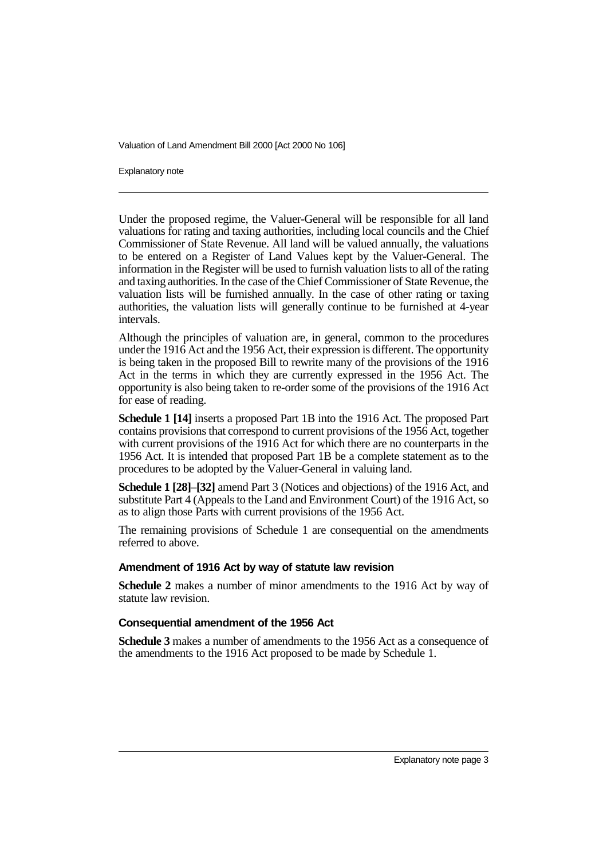Valuation of Land Amendment Bill 2000 [Act 2000 No 106]

Explanatory note

Under the proposed regime, the Valuer-General will be responsible for all land valuations for rating and taxing authorities, including local councils and the Chief Commissioner of State Revenue. All land will be valued annually, the valuations to be entered on a Register of Land Values kept by the Valuer-General. The information in the Register will be used to furnish valuation lists to all of the rating and taxing authorities. In the case of the Chief Commissioner of State Revenue, the valuation lists will be furnished annually. In the case of other rating or taxing authorities, the valuation lists will generally continue to be furnished at 4-year intervals.

Although the principles of valuation are, in general, common to the procedures under the 1916 Act and the 1956 Act, their expression is different. The opportunity is being taken in the proposed Bill to rewrite many of the provisions of the 1916 Act in the terms in which they are currently expressed in the 1956 Act. The opportunity is also being taken to re-order some of the provisions of the 1916 Act for ease of reading.

**Schedule 1 [14]** inserts a proposed Part 1B into the 1916 Act. The proposed Part contains provisions that correspond to current provisions of the 1956 Act, together with current provisions of the 1916 Act for which there are no counterparts in the 1956 Act. It is intended that proposed Part 1B be a complete statement as to the procedures to be adopted by the Valuer-General in valuing land.

**Schedule 1 [28]**–**[32]** amend Part 3 (Notices and objections) of the 1916 Act, and substitute Part 4 (Appeals to the Land and Environment Court) of the 1916 Act, so as to align those Parts with current provisions of the 1956 Act.

The remaining provisions of Schedule 1 are consequential on the amendments referred to above.

#### **Amendment of 1916 Act by way of statute law revision**

**Schedule 2** makes a number of minor amendments to the 1916 Act by way of statute law revision.

#### **Consequential amendment of the 1956 Act**

**Schedule 3** makes a number of amendments to the 1956 Act as a consequence of the amendments to the 1916 Act proposed to be made by Schedule 1.